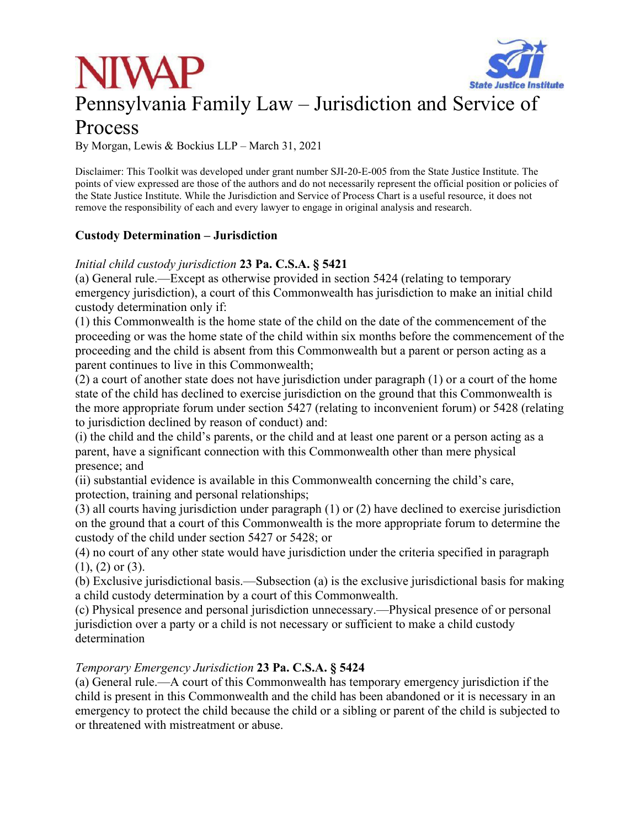



### Pennsylvania Family Law – Jurisdiction and Service of

### Process

By Morgan, Lewis & Bockius LLP – March 31, 2021

Disclaimer: This Toolkit was developed under grant number SJI-20-E-005 from the State Justice Institute. The points of view expressed are those of the authors and do not necessarily represent the official position or policies of the State Justice Institute. While the Jurisdiction and Service of Process Chart is a useful resource, it does not remove the responsibility of each and every lawyer to engage in original analysis and research.

#### **Custody Determination – Jurisdiction**

#### *Initial child custody jurisdiction* **23 Pa. C.S.A. § 5421**

(a) General rule.—Except as otherwise provided in section 5424 (relating to temporary emergency jurisdiction), a court of this Commonwealth has jurisdiction to make an initial child custody determination only if:

(1) this Commonwealth is the home state of the child on the date of the commencement of the proceeding or was the home state of the child within six months before the commencement of the proceeding and the child is absent from this Commonwealth but a parent or person acting as a parent continues to live in this Commonwealth;

(2) a court of another state does not have jurisdiction under paragraph (1) or a court of the home state of the child has declined to exercise jurisdiction on the ground that this Commonwealth is the more appropriate forum under section 5427 (relating to inconvenient forum) or 5428 (relating to jurisdiction declined by reason of conduct) and:

(i) the child and the child's parents, or the child and at least one parent or a person acting as a parent, have a significant connection with this Commonwealth other than mere physical presence; and

(ii) substantial evidence is available in this Commonwealth concerning the child's care, protection, training and personal relationships;

(3) all courts having jurisdiction under paragraph (1) or (2) have declined to exercise jurisdiction on the ground that a court of this Commonwealth is the more appropriate forum to determine the custody of the child under section 5427 or 5428; or

(4) no court of any other state would have jurisdiction under the criteria specified in paragraph  $(1)$ ,  $(2)$  or  $(3)$ .

(b) Exclusive jurisdictional basis.—Subsection (a) is the exclusive jurisdictional basis for making a child custody determination by a court of this Commonwealth.

(c) Physical presence and personal jurisdiction unnecessary.—Physical presence of or personal jurisdiction over a party or a child is not necessary or sufficient to make a child custody determination

#### *Temporary Emergency Jurisdiction* **23 Pa. C.S.A. § 5424**

(a) General rule.—A court of this Commonwealth has temporary emergency jurisdiction if the child is present in this Commonwealth and the child has been abandoned or it is necessary in an emergency to protect the child because the child or a sibling or parent of the child is subjected to or threatened with mistreatment or abuse.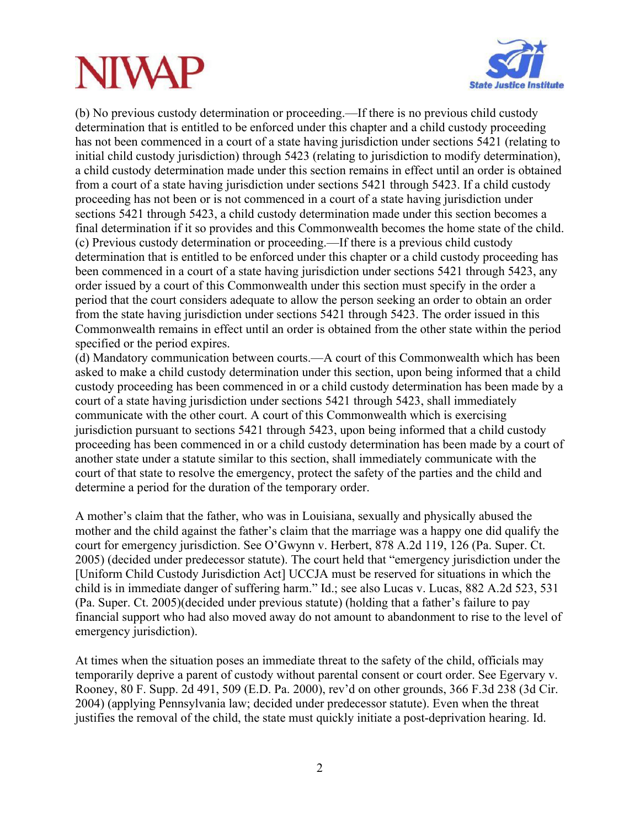# **NIVAF**



(b) No previous custody determination or proceeding.—If there is no previous child custody determination that is entitled to be enforced under this chapter and a child custody proceeding has not been commenced in a court of a state having jurisdiction under sections 5421 (relating to initial child custody jurisdiction) through 5423 (relating to jurisdiction to modify determination), a child custody determination made under this section remains in effect until an order is obtained from a court of a state having jurisdiction under sections 5421 through 5423. If a child custody proceeding has not been or is not commenced in a court of a state having jurisdiction under sections 5421 through 5423, a child custody determination made under this section becomes a final determination if it so provides and this Commonwealth becomes the home state of the child. (c) Previous custody determination or proceeding.—If there is a previous child custody determination that is entitled to be enforced under this chapter or a child custody proceeding has been commenced in a court of a state having jurisdiction under sections 5421 through 5423, any order issued by a court of this Commonwealth under this section must specify in the order a period that the court considers adequate to allow the person seeking an order to obtain an order from the state having jurisdiction under sections 5421 through 5423. The order issued in this Commonwealth remains in effect until an order is obtained from the other state within the period specified or the period expires.

(d) Mandatory communication between courts.—A court of this Commonwealth which has been asked to make a child custody determination under this section, upon being informed that a child custody proceeding has been commenced in or a child custody determination has been made by a court of a state having jurisdiction under sections 5421 through 5423, shall immediately communicate with the other court. A court of this Commonwealth which is exercising jurisdiction pursuant to sections 5421 through 5423, upon being informed that a child custody proceeding has been commenced in or a child custody determination has been made by a court of another state under a statute similar to this section, shall immediately communicate with the court of that state to resolve the emergency, protect the safety of the parties and the child and determine a period for the duration of the temporary order.

A mother's claim that the father, who was in Louisiana, sexually and physically abused the mother and the child against the father's claim that the marriage was a happy one did qualify the court for emergency jurisdiction. See O'Gwynn v. Herbert, 878 A.2d 119, 126 (Pa. Super. Ct. 2005) (decided under predecessor statute). The court held that "emergency jurisdiction under the [Uniform Child Custody Jurisdiction Act] UCCJA must be reserved for situations in which the child is in immediate danger of suffering harm." Id.; see also Lucas v. Lucas, 882 A.2d 523, 531 (Pa. Super. Ct. 2005)(decided under previous statute) (holding that a father's failure to pay financial support who had also moved away do not amount to abandonment to rise to the level of emergency jurisdiction).

At times when the situation poses an immediate threat to the safety of the child, officials may temporarily deprive a parent of custody without parental consent or court order. See Egervary v. Rooney, 80 F. Supp. 2d 491, 509 (E.D. Pa. 2000), rev'd on other grounds, 366 F.3d 238 (3d Cir. 2004) (applying Pennsylvania law; decided under predecessor statute). Even when the threat justifies the removal of the child, the state must quickly initiate a post-deprivation hearing. Id.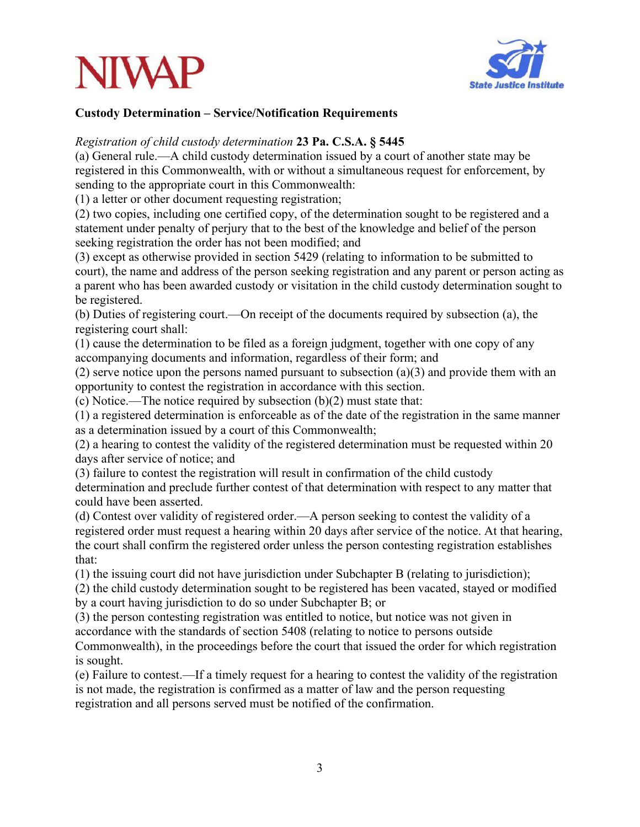



#### **Custody Determination – Service/Notification Requirements**

#### *Registration of child custody determination* **23 Pa. C.S.A. § 5445**

(a) General rule.—A child custody determination issued by a court of another state may be registered in this Commonwealth, with or without a simultaneous request for enforcement, by sending to the appropriate court in this Commonwealth:

(1) a letter or other document requesting registration;

(2) two copies, including one certified copy, of the determination sought to be registered and a statement under penalty of perjury that to the best of the knowledge and belief of the person seeking registration the order has not been modified; and

(3) except as otherwise provided in section 5429 (relating to information to be submitted to court), the name and address of the person seeking registration and any parent or person acting as a parent who has been awarded custody or visitation in the child custody determination sought to be registered.

(b) Duties of registering court.—On receipt of the documents required by subsection (a), the registering court shall:

(1) cause the determination to be filed as a foreign judgment, together with one copy of any accompanying documents and information, regardless of their form; and

(2) serve notice upon the persons named pursuant to subsection  $(a)(3)$  and provide them with an opportunity to contest the registration in accordance with this section.

(c) Notice.—The notice required by subsection (b)(2) must state that:

(1) a registered determination is enforceable as of the date of the registration in the same manner as a determination issued by a court of this Commonwealth;

(2) a hearing to contest the validity of the registered determination must be requested within 20 days after service of notice; and

(3) failure to contest the registration will result in confirmation of the child custody determination and preclude further contest of that determination with respect to any matter that could have been asserted.

(d) Contest over validity of registered order.—A person seeking to contest the validity of a registered order must request a hearing within 20 days after service of the notice. At that hearing, the court shall confirm the registered order unless the person contesting registration establishes that:

(1) the issuing court did not have jurisdiction under Subchapter B (relating to jurisdiction);

(2) the child custody determination sought to be registered has been vacated, stayed or modified by a court having jurisdiction to do so under Subchapter B; or

(3) the person contesting registration was entitled to notice, but notice was not given in accordance with the standards of section 5408 (relating to notice to persons outside Commonwealth), in the proceedings before the court that issued the order for which registration is sought.

(e) Failure to contest.—If a timely request for a hearing to contest the validity of the registration is not made, the registration is confirmed as a matter of law and the person requesting registration and all persons served must be notified of the confirmation.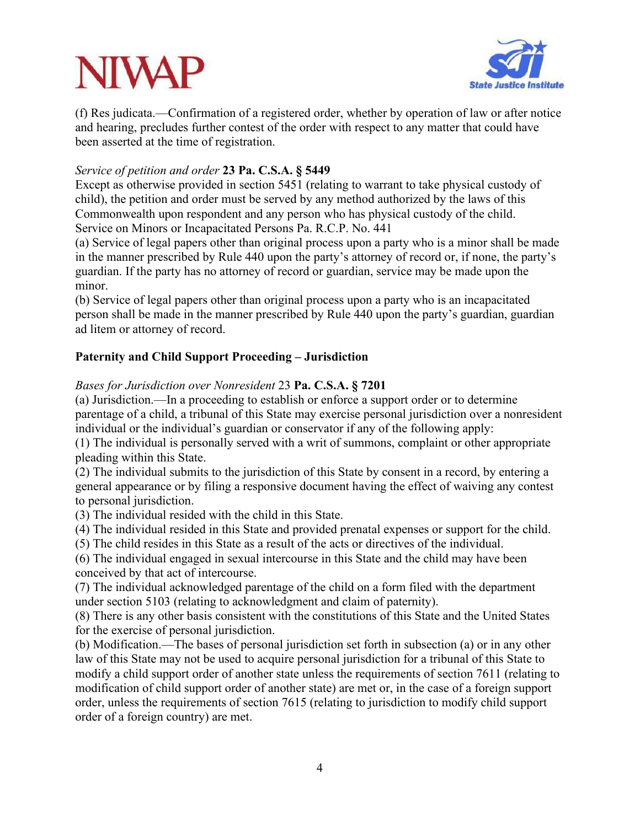### **NIVA**



(f) Res judicata.—Confirmation of a registered order, whether by operation of law or after notice and hearing, precludes further contest of the order with respect to any matter that could have been asserted at the time of registration.

#### *Service of petition and order* **23 Pa. C.S.A. § 5449**

Except as otherwise provided in section 5451 (relating to warrant to take physical custody of child), the petition and order must be served by any method authorized by the laws of this Commonwealth upon respondent and any person who has physical custody of the child. Service on Minors or Incapacitated Persons Pa. R.C.P. No. 441

(a) Service of legal papers other than original process upon a party who is a minor shall be made in the manner prescribed by Rule 440 upon the party's attorney of record or, if none, the party's guardian. If the party has no attorney of record or guardian, service may be made upon the minor.

(b) Service of legal papers other than original process upon a party who is an incapacitated person shall be made in the manner prescribed by Rule 440 upon the party's guardian, guardian ad litem or attorney of record.

#### **Paternity and Child Support Proceeding – Jurisdiction**

#### *Bases for Jurisdiction over Nonresident* 23 **Pa. C.S.A. § 7201**

(a) Jurisdiction.—In a proceeding to establish or enforce a support order or to determine parentage of a child, a tribunal of this State may exercise personal jurisdiction over a nonresident individual or the individual's guardian or conservator if any of the following apply:

(1) The individual is personally served with a writ of summons, complaint or other appropriate pleading within this State.

(2) The individual submits to the jurisdiction of this State by consent in a record, by entering a general appearance or by filing a responsive document having the effect of waiving any contest to personal jurisdiction.

(3) The individual resided with the child in this State.

(4) The individual resided in this State and provided prenatal expenses or support for the child.

(5) The child resides in this State as a result of the acts or directives of the individual.

(6) The individual engaged in sexual intercourse in this State and the child may have been conceived by that act of intercourse.

(7) The individual acknowledged parentage of the child on a form filed with the department under section 5103 (relating to acknowledgment and claim of paternity).

(8) There is any other basis consistent with the constitutions of this State and the United States for the exercise of personal jurisdiction.

(b) Modification.—The bases of personal jurisdiction set forth in subsection (a) or in any other law of this State may not be used to acquire personal jurisdiction for a tribunal of this State to modify a child support order of another state unless the requirements of section 7611 (relating to modification of child support order of another state) are met or, in the case of a foreign support order, unless the requirements of section 7615 (relating to jurisdiction to modify child support order of a foreign country) are met.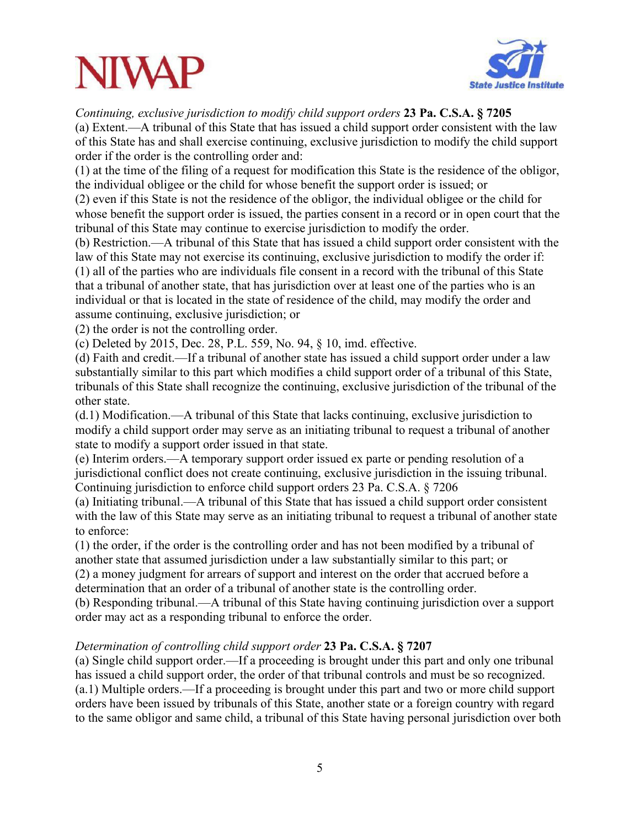### **NIWA**



*Continuing, exclusive jurisdiction to modify child support orders* **23 Pa. C.S.A. § 7205**

(a) Extent.—A tribunal of this State that has issued a child support order consistent with the law of this State has and shall exercise continuing, exclusive jurisdiction to modify the child support order if the order is the controlling order and:

(1) at the time of the filing of a request for modification this State is the residence of the obligor, the individual obligee or the child for whose benefit the support order is issued; or

(2) even if this State is not the residence of the obligor, the individual obligee or the child for whose benefit the support order is issued, the parties consent in a record or in open court that the tribunal of this State may continue to exercise jurisdiction to modify the order.

(b) Restriction.—A tribunal of this State that has issued a child support order consistent with the law of this State may not exercise its continuing, exclusive jurisdiction to modify the order if: (1) all of the parties who are individuals file consent in a record with the tribunal of this State that a tribunal of another state, that has jurisdiction over at least one of the parties who is an individual or that is located in the state of residence of the child, may modify the order and assume continuing, exclusive jurisdiction; or

(2) the order is not the controlling order.

(c) Deleted by 2015, Dec. 28, P.L. 559, No. 94, § 10, imd. effective.

(d) Faith and credit.—If a tribunal of another state has issued a child support order under a law substantially similar to this part which modifies a child support order of a tribunal of this State, tribunals of this State shall recognize the continuing, exclusive jurisdiction of the tribunal of the other state.

(d.1) Modification.—A tribunal of this State that lacks continuing, exclusive jurisdiction to modify a child support order may serve as an initiating tribunal to request a tribunal of another state to modify a support order issued in that state.

(e) Interim orders.—A temporary support order issued ex parte or pending resolution of a jurisdictional conflict does not create continuing, exclusive jurisdiction in the issuing tribunal. Continuing jurisdiction to enforce child support orders 23 Pa. C.S.A. § 7206

(a) Initiating tribunal.—A tribunal of this State that has issued a child support order consistent with the law of this State may serve as an initiating tribunal to request a tribunal of another state to enforce:

(1) the order, if the order is the controlling order and has not been modified by a tribunal of another state that assumed jurisdiction under a law substantially similar to this part; or (2) a money judgment for arrears of support and interest on the order that accrued before a

determination that an order of a tribunal of another state is the controlling order.

(b) Responding tribunal.—A tribunal of this State having continuing jurisdiction over a support order may act as a responding tribunal to enforce the order.

#### *Determination of controlling child support order* **23 Pa. C.S.A. § 7207**

(a) Single child support order.—If a proceeding is brought under this part and only one tribunal has issued a child support order, the order of that tribunal controls and must be so recognized. (a.1) Multiple orders.—If a proceeding is brought under this part and two or more child support orders have been issued by tribunals of this State, another state or a foreign country with regard to the same obligor and same child, a tribunal of this State having personal jurisdiction over both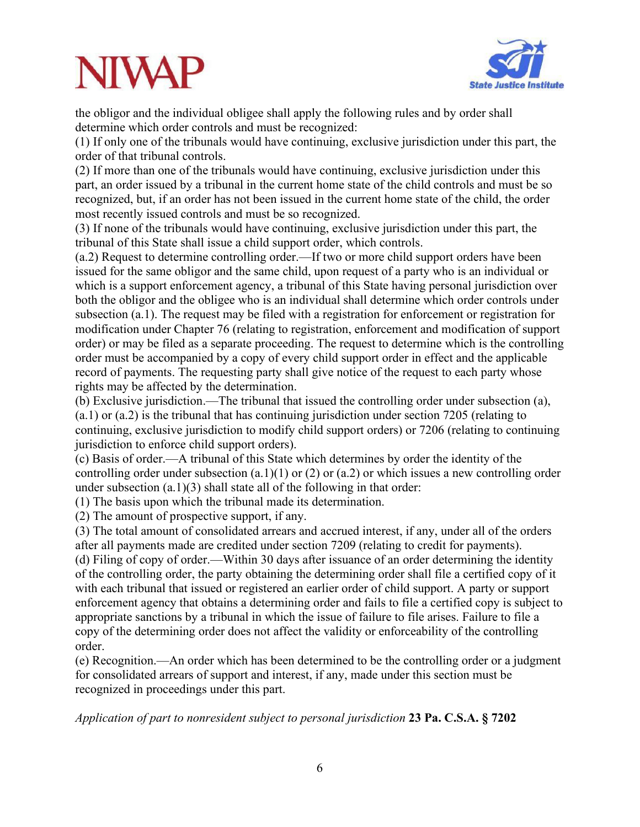# **NIVAF**



the obligor and the individual obligee shall apply the following rules and by order shall determine which order controls and must be recognized:

(1) If only one of the tribunals would have continuing, exclusive jurisdiction under this part, the order of that tribunal controls.

(2) If more than one of the tribunals would have continuing, exclusive jurisdiction under this part, an order issued by a tribunal in the current home state of the child controls and must be so recognized, but, if an order has not been issued in the current home state of the child, the order most recently issued controls and must be so recognized.

(3) If none of the tribunals would have continuing, exclusive jurisdiction under this part, the tribunal of this State shall issue a child support order, which controls.

(a.2) Request to determine controlling order.—If two or more child support orders have been issued for the same obligor and the same child, upon request of a party who is an individual or which is a support enforcement agency, a tribunal of this State having personal jurisdiction over both the obligor and the obligee who is an individual shall determine which order controls under subsection (a.1). The request may be filed with a registration for enforcement or registration for modification under Chapter 76 (relating to registration, enforcement and modification of support order) or may be filed as a separate proceeding. The request to determine which is the controlling order must be accompanied by a copy of every child support order in effect and the applicable record of payments. The requesting party shall give notice of the request to each party whose rights may be affected by the determination.

(b) Exclusive jurisdiction.—The tribunal that issued the controlling order under subsection (a), (a.1) or (a.2) is the tribunal that has continuing jurisdiction under section 7205 (relating to continuing, exclusive jurisdiction to modify child support orders) or 7206 (relating to continuing jurisdiction to enforce child support orders).

(c) Basis of order.—A tribunal of this State which determines by order the identity of the controlling order under subsection  $(a.1)(1)$  or  $(2)$  or  $(a.2)$  or which issues a new controlling order under subsection (a.1)(3) shall state all of the following in that order:

(1) The basis upon which the tribunal made its determination.

(2) The amount of prospective support, if any.

(3) The total amount of consolidated arrears and accrued interest, if any, under all of the orders after all payments made are credited under section 7209 (relating to credit for payments). (d) Filing of copy of order.—Within 30 days after issuance of an order determining the identity of the controlling order, the party obtaining the determining order shall file a certified copy of it with each tribunal that issued or registered an earlier order of child support. A party or support enforcement agency that obtains a determining order and fails to file a certified copy is subject to appropriate sanctions by a tribunal in which the issue of failure to file arises. Failure to file a copy of the determining order does not affect the validity or enforceability of the controlling order.

(e) Recognition.—An order which has been determined to be the controlling order or a judgment for consolidated arrears of support and interest, if any, made under this section must be recognized in proceedings under this part.

*Application of part to nonresident subject to personal jurisdiction* **23 Pa. C.S.A. § 7202**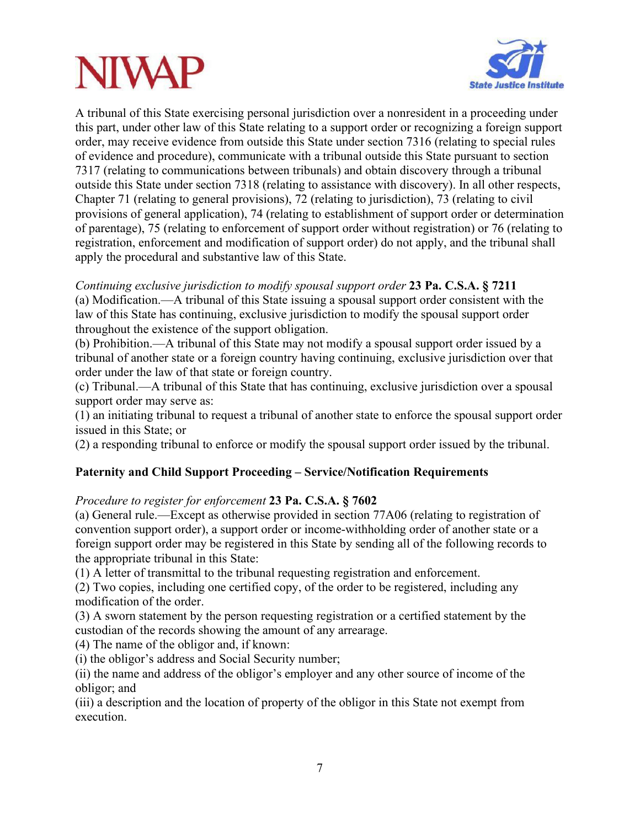# **NIVA**



A tribunal of this State exercising personal jurisdiction over a nonresident in a proceeding under this part, under other law of this State relating to a support order or recognizing a foreign support order, may receive evidence from outside this State under section 7316 (relating to special rules of evidence and procedure), communicate with a tribunal outside this State pursuant to section 7317 (relating to communications between tribunals) and obtain discovery through a tribunal outside this State under section 7318 (relating to assistance with discovery). In all other respects, Chapter 71 (relating to general provisions), 72 (relating to jurisdiction), 73 (relating to civil provisions of general application), 74 (relating to establishment of support order or determination of parentage), 75 (relating to enforcement of support order without registration) or 76 (relating to registration, enforcement and modification of support order) do not apply, and the tribunal shall apply the procedural and substantive law of this State.

#### *Continuing exclusive jurisdiction to modify spousal support order* **23 Pa. C.S.A. § 7211**

(a) Modification.—A tribunal of this State issuing a spousal support order consistent with the law of this State has continuing, exclusive jurisdiction to modify the spousal support order throughout the existence of the support obligation.

(b) Prohibition.—A tribunal of this State may not modify a spousal support order issued by a tribunal of another state or a foreign country having continuing, exclusive jurisdiction over that order under the law of that state or foreign country.

(c) Tribunal.—A tribunal of this State that has continuing, exclusive jurisdiction over a spousal support order may serve as:

(1) an initiating tribunal to request a tribunal of another state to enforce the spousal support order issued in this State; or

(2) a responding tribunal to enforce or modify the spousal support order issued by the tribunal.

#### **Paternity and Child Support Proceeding – Service/Notification Requirements**

#### *Procedure to register for enforcement* **23 Pa. C.S.A. § 7602**

(a) General rule.—Except as otherwise provided in section 77A06 (relating to registration of convention support order), a support order or income-withholding order of another state or a foreign support order may be registered in this State by sending all of the following records to the appropriate tribunal in this State:

(1) A letter of transmittal to the tribunal requesting registration and enforcement.

(2) Two copies, including one certified copy, of the order to be registered, including any modification of the order.

(3) A sworn statement by the person requesting registration or a certified statement by the custodian of the records showing the amount of any arrearage.

(4) The name of the obligor and, if known:

(i) the obligor's address and Social Security number;

(ii) the name and address of the obligor's employer and any other source of income of the obligor; and

(iii) a description and the location of property of the obligor in this State not exempt from execution.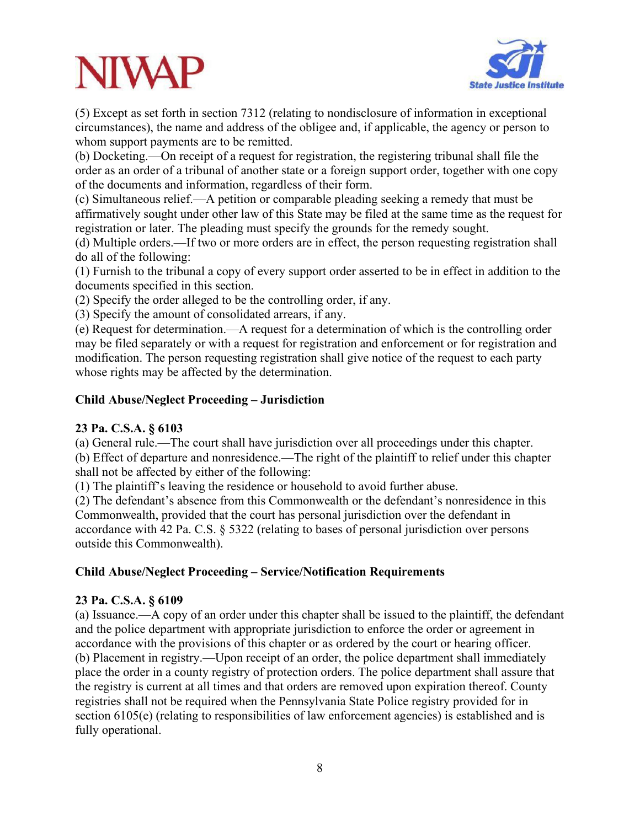# **NIVA**



(5) Except as set forth in section 7312 (relating to nondisclosure of information in exceptional circumstances), the name and address of the obligee and, if applicable, the agency or person to whom support payments are to be remitted.

(b) Docketing.—On receipt of a request for registration, the registering tribunal shall file the order as an order of a tribunal of another state or a foreign support order, together with one copy of the documents and information, regardless of their form.

(c) Simultaneous relief.—A petition or comparable pleading seeking a remedy that must be affirmatively sought under other law of this State may be filed at the same time as the request for registration or later. The pleading must specify the grounds for the remedy sought.

(d) Multiple orders.—If two or more orders are in effect, the person requesting registration shall do all of the following:

(1) Furnish to the tribunal a copy of every support order asserted to be in effect in addition to the documents specified in this section.

(2) Specify the order alleged to be the controlling order, if any.

(3) Specify the amount of consolidated arrears, if any.

(e) Request for determination.—A request for a determination of which is the controlling order may be filed separately or with a request for registration and enforcement or for registration and modification. The person requesting registration shall give notice of the request to each party whose rights may be affected by the determination.

#### **Child Abuse/Neglect Proceeding – Jurisdiction**

#### **23 Pa. C.S.A. § 6103**

(a) General rule.—The court shall have jurisdiction over all proceedings under this chapter. (b) Effect of departure and nonresidence.—The right of the plaintiff to relief under this chapter shall not be affected by either of the following:

(1) The plaintiff's leaving the residence or household to avoid further abuse.

(2) The defendant's absence from this Commonwealth or the defendant's nonresidence in this Commonwealth, provided that the court has personal jurisdiction over the defendant in accordance with 42 Pa. C.S. § 5322 (relating to bases of personal jurisdiction over persons outside this Commonwealth).

#### **Child Abuse/Neglect Proceeding – Service/Notification Requirements**

#### **23 Pa. C.S.A. § 6109**

(a) Issuance.—A copy of an order under this chapter shall be issued to the plaintiff, the defendant and the police department with appropriate jurisdiction to enforce the order or agreement in accordance with the provisions of this chapter or as ordered by the court or hearing officer. (b) Placement in registry.—Upon receipt of an order, the police department shall immediately place the order in a county registry of protection orders. The police department shall assure that the registry is current at all times and that orders are removed upon expiration thereof. County registries shall not be required when the Pennsylvania State Police registry provided for in section 6105(e) (relating to responsibilities of law enforcement agencies) is established and is fully operational.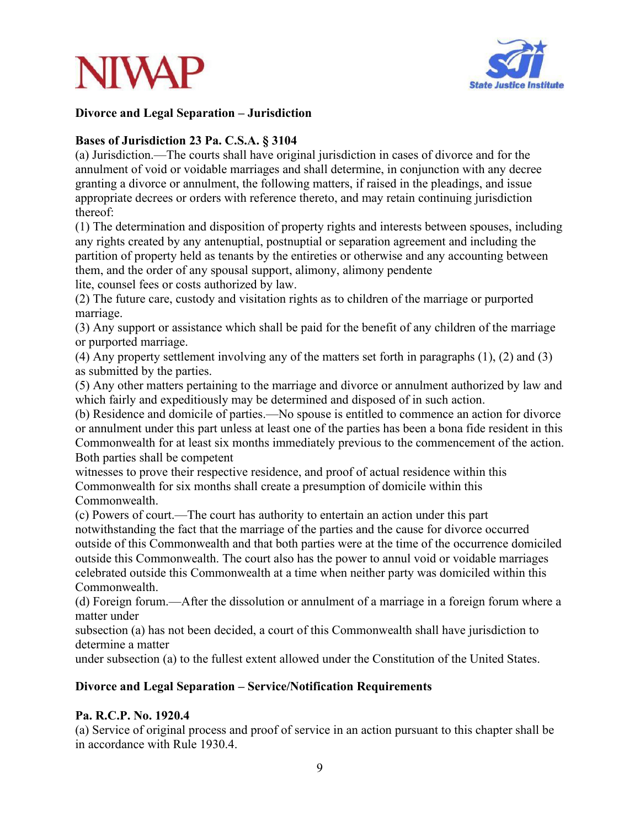



#### **Divorce and Legal Separation – Jurisdiction**

#### **Bases of Jurisdiction 23 Pa. C.S.A. § 3104**

(a) Jurisdiction.—The courts shall have original jurisdiction in cases of divorce and for the annulment of void or voidable marriages and shall determine, in conjunction with any decree granting a divorce or annulment, the following matters, if raised in the pleadings, and issue appropriate decrees or orders with reference thereto, and may retain continuing jurisdiction thereof:

(1) The determination and disposition of property rights and interests between spouses, including any rights created by any antenuptial, postnuptial or separation agreement and including the partition of property held as tenants by the entireties or otherwise and any accounting between them, and the order of any spousal support, alimony, alimony pendente

lite, counsel fees or costs authorized by law.

(2) The future care, custody and visitation rights as to children of the marriage or purported marriage.

(3) Any support or assistance which shall be paid for the benefit of any children of the marriage or purported marriage.

(4) Any property settlement involving any of the matters set forth in paragraphs (1), (2) and (3) as submitted by the parties.

(5) Any other matters pertaining to the marriage and divorce or annulment authorized by law and which fairly and expeditiously may be determined and disposed of in such action.

(b) Residence and domicile of parties.—No spouse is entitled to commence an action for divorce or annulment under this part unless at least one of the parties has been a bona fide resident in this Commonwealth for at least six months immediately previous to the commencement of the action. Both parties shall be competent

witnesses to prove their respective residence, and proof of actual residence within this Commonwealth for six months shall create a presumption of domicile within this Commonwealth.

(c) Powers of court.—The court has authority to entertain an action under this part notwithstanding the fact that the marriage of the parties and the cause for divorce occurred outside of this Commonwealth and that both parties were at the time of the occurrence domiciled outside this Commonwealth. The court also has the power to annul void or voidable marriages celebrated outside this Commonwealth at a time when neither party was domiciled within this Commonwealth.

(d) Foreign forum.—After the dissolution or annulment of a marriage in a foreign forum where a matter under

subsection (a) has not been decided, a court of this Commonwealth shall have jurisdiction to determine a matter

under subsection (a) to the fullest extent allowed under the Constitution of the United States.

#### **Divorce and Legal Separation – Service/Notification Requirements**

#### **Pa. R.C.P. No. 1920.4**

(a) Service of original process and proof of service in an action pursuant to this chapter shall be in accordance with Rule 1930.4.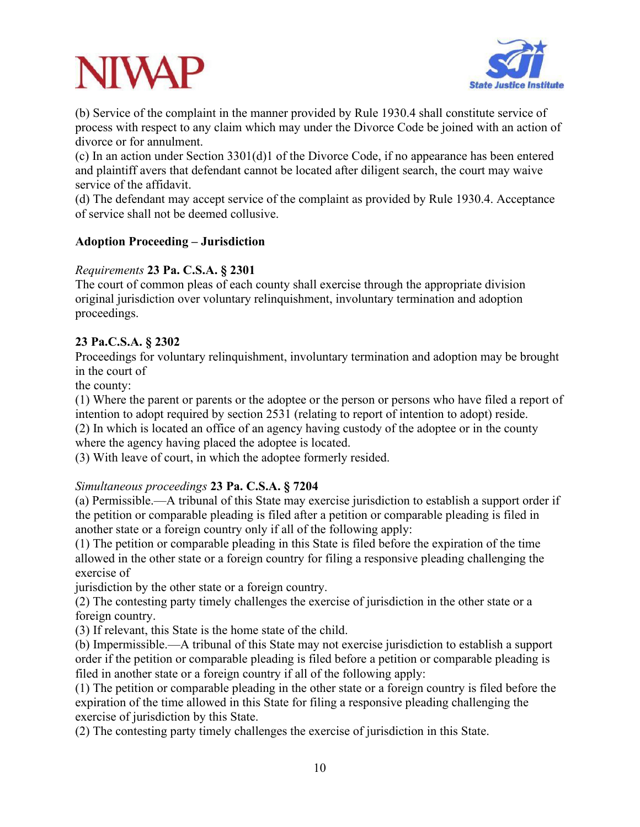

(b) Service of the complaint in the manner provided by Rule 1930.4 shall constitute service of process with respect to any claim which may under the Divorce Code be joined with an action of divorce or for annulment.

(c) In an action under Section 3301(d)1 of the Divorce Code, if no appearance has been entered and plaintiff avers that defendant cannot be located after diligent search, the court may waive service of the affidavit.

(d) The defendant may accept service of the complaint as provided by Rule 1930.4. Acceptance of service shall not be deemed collusive.

#### **Adoption Proceeding – Jurisdiction**

### *Requirements* **23 Pa. C.S.A. § 2301**

The court of common pleas of each county shall exercise through the appropriate division original jurisdiction over voluntary relinquishment, involuntary termination and adoption proceedings.

### **23 Pa.C.S.A. § 2302**

Proceedings for voluntary relinquishment, involuntary termination and adoption may be brought in the court of

the county:

(1) Where the parent or parents or the adoptee or the person or persons who have filed a report of intention to adopt required by section 2531 (relating to report of intention to adopt) reside. (2) In which is located an office of an agency having custody of the adoptee or in the county

where the agency having placed the adoptee is located.

(3) With leave of court, in which the adoptee formerly resided.

#### *Simultaneous proceedings* **23 Pa. C.S.A. § 7204**

(a) Permissible.—A tribunal of this State may exercise jurisdiction to establish a support order if the petition or comparable pleading is filed after a petition or comparable pleading is filed in another state or a foreign country only if all of the following apply:

(1) The petition or comparable pleading in this State is filed before the expiration of the time allowed in the other state or a foreign country for filing a responsive pleading challenging the exercise of

jurisdiction by the other state or a foreign country.

(2) The contesting party timely challenges the exercise of jurisdiction in the other state or a foreign country.

(3) If relevant, this State is the home state of the child.

(b) Impermissible.—A tribunal of this State may not exercise jurisdiction to establish a support order if the petition or comparable pleading is filed before a petition or comparable pleading is filed in another state or a foreign country if all of the following apply:

(1) The petition or comparable pleading in the other state or a foreign country is filed before the expiration of the time allowed in this State for filing a responsive pleading challenging the exercise of jurisdiction by this State.

(2) The contesting party timely challenges the exercise of jurisdiction in this State.